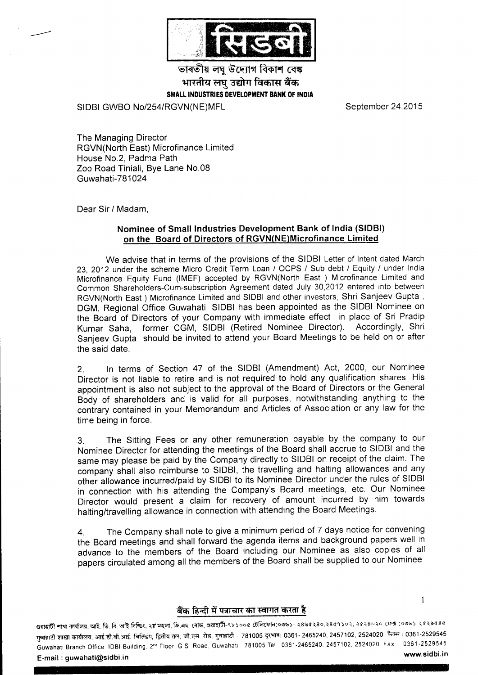

ভাৰতীয় লঘু উদ্যোগ বিকাশ বেঙ্ক भारतीय लघ उद्योग विकास बैंक SMALL INDUSTRIES DEVELOPMENT BANK OF INDIA

SIDBI GWBO No/2S4|RGVN(NE)MFL

September 24,2015

I

The Managing Director RGVN(North East) Microfinance Limited House No.2, Padma Path Zoo Road Tiniali, Bye Lane No.08 Guwahati-781024

Dear Sir / Madam,

## Nominee of Small lndustries Development Bank of lndia (SlDBl) on the Board of Directors of RGVN(NE)Microfinance Limited

We advise that in terms of the provisions of the SIDBI Letter of lntent dated March 23, 2012 under the scheme Micro Credit Term Loan / OCPS / Sub debt / Equity / under India Microfinance Equity Fund (IMEF) accepted by RGVN(North East) Microfinance Limited and Common Shareholders-Cum-subscription Agreement dated July 30,2012 entered into between RGVN(North East ) Microfinance Limited and SIDBI and other investors, Shri Sanjeev Gupta , DGM, Regional Office Guwahati, SIDBI has been appointed as the SIDBI Nominee on the Board of Directors of your Company with immediate effect in place of Sri Pradip Kumar Saha, former CGM, SIDBI (Retired Nominee Director). Accordingly, Shri Sanjeev Gupta should be invited to attend your Board Meetings to be held on or after the said date.

2. ln terms of Section 47 of the SIDBI (Amendment) Act, 2000, our Nominee Director is not liable to retire and is not required to hold any qualification shares. His appointment is also not subject to the approval of the Board of Directors or the General Body of shareholders and is valid for all purposes, notwithstanding anything to the contrary contained in your Memorandum and Articles of Association or any law for the time being in force.

3. The Sitting Fees or any other remuneration payable by the company to our Nominee Director for attending the meetings of the Board shall accrue to SIDBI and the same may please be paid by the Company directly to SIDBI on receipt of the claim. The company shall also reimburse to SlDBl, the travelling and halting allowances and any other allbwance incurred/paid by SIDBI to its Nominee Director under the rules of SIDBI in connection with his attending the Company's Board meetings, etc. Our Nominee Director would present a claim for recovery of amount incurred by him towards halting/travelling allowance in connection with attending the Board Meetings.

4. The Company shall note to give a minimum period of 7 days notice for convening the Board meetings and shall fonvard the agenda items and background papers well in advance to the members of the Board including our Nominee as also copies of all papers circulated among all the members of the Board shall be supplied to our Nominee

## बैंक हिन्दी में पत्राचार का स्वागत करता है

গুৱাহাটী শাখা কাৰ্যালয়, আই. ডি. বি. আই বিশ্ডিং, ২য় মহলা, জি.এছ. ৰোড, গুৱাহাটী-৭৮১০০৫ টেলিফোন:০৩৬১- ২৪৬৫২৪০,২৪৫৭১০২, ২৫২৪০২০ ফেক্স :০৩৬১ ২৫২৯৫৪৫ ग्वाहाटी शाखा कार्यालय, आई.डी.बी.आई. बिल्डिंग, द्वितीय तल, जी.एस. रोड, गुवाहाटी - 781005 दूरभाष: 0361- 2465240, 2457102, 2524020 फैक्स : 0361-2529545 Guwahati Branch Office, IDBI Building, 2<sup>nd</sup> Floor G.S. Road, Guwahati - 781005 Tel . 0361-2465240, 2457102, 2524020 Fax 0361-2529545<br>E.mail : guwahati@sidhi in  $E$ -mail: quwahati@sidbi.in